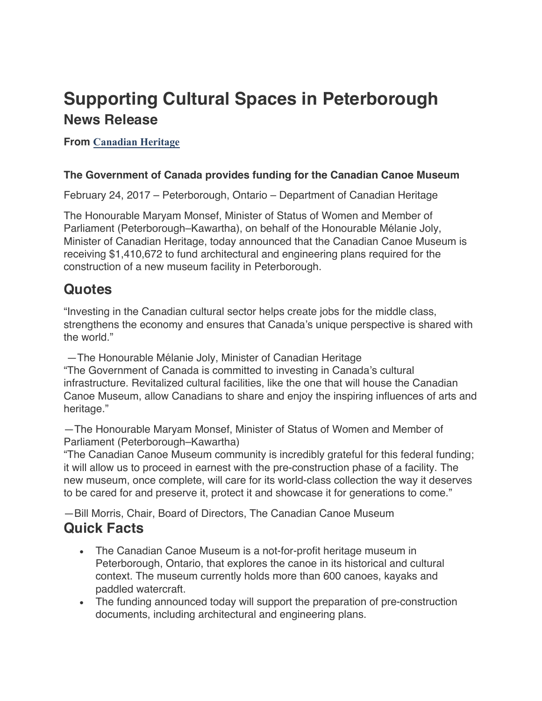# **Supporting Cultural Spaces in Peterborough News Release**

### **From Canadian Heritage**

#### **The Government of Canada provides funding for the Canadian Canoe Museum**

February 24, 2017 – Peterborough, Ontario – Department of Canadian Heritage

The Honourable Maryam Monsef, Minister of Status of Women and Member of Parliament (Peterborough–Kawartha), on behalf of the Honourable Mélanie Joly, Minister of Canadian Heritage, today announced that the Canadian Canoe Museum is receiving \$1,410,672 to fund architectural and engineering plans required for the construction of a new museum facility in Peterborough.

### **Quotes**

"Investing in the Canadian cultural sector helps create jobs for the middle class, strengthens the economy and ensures that Canada's unique perspective is shared with the world."

—The Honourable Mélanie Joly, Minister of Canadian Heritage "The Government of Canada is committed to investing in Canada's cultural infrastructure. Revitalized cultural facilities, like the one that will house the Canadian Canoe Museum, allow Canadians to share and enjoy the inspiring influences of arts and heritage."

—The Honourable Maryam Monsef, Minister of Status of Women and Member of Parliament (Peterborough–Kawartha)

"The Canadian Canoe Museum community is incredibly grateful for this federal funding; it will allow us to proceed in earnest with the pre-construction phase of a facility. The new museum, once complete, will care for its world-class collection the way it deserves to be cared for and preserve it, protect it and showcase it for generations to come."

—Bill Morris, Chair, Board of Directors, The Canadian Canoe Museum **Quick Facts**

- The Canadian Canoe Museum is a not-for-profit heritage museum in Peterborough, Ontario, that explores the canoe in its historical and cultural context. The museum currently holds more than 600 canoes, kayaks and paddled watercraft.
- The funding announced today will support the preparation of pre-construction documents, including architectural and engineering plans.